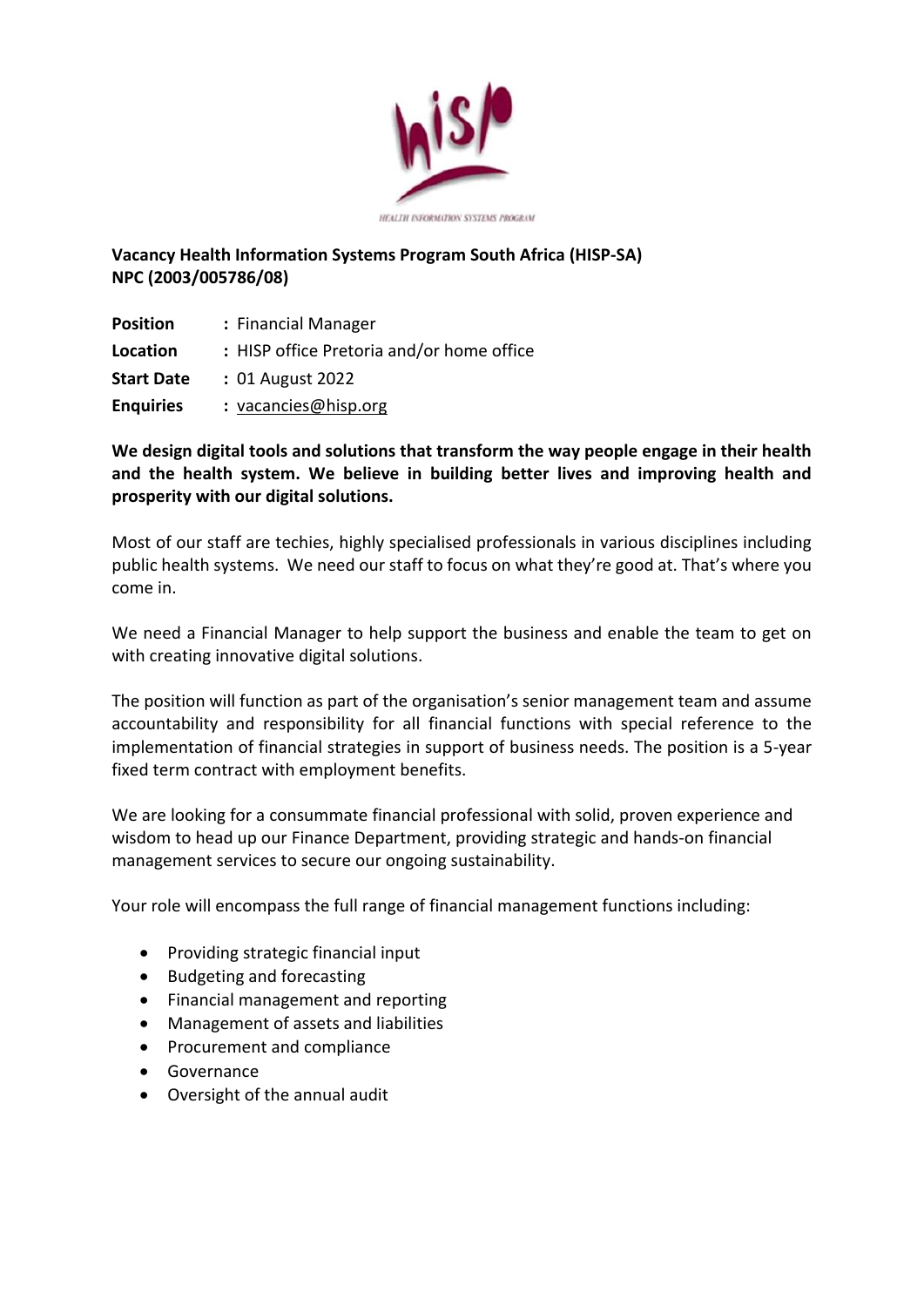

**HEALTH INFORMATION SYSTEMS PROGRAM** 

## **Vacancy Health Information Systems Program South Africa (HISP-SA) NPC (2003/005786/08)**

| <b>Position</b>   | : Financial Manager                       |
|-------------------|-------------------------------------------|
| Location          | : HISP office Pretoria and/or home office |
| <b>Start Date</b> | : 01 August 2022                          |
| <b>Enquiries</b>  | : vacancies@hisp.org                      |

## **We design digital tools and solutions that transform the way people engage in their health and the health system. We believe in building better lives and improving health and prosperity with our digital solutions.**

Most of our staff are techies, highly specialised professionals in various disciplines including public health systems. We need our staff to focus on what they're good at. That's where you come in.

We need a Financial Manager to help support the business and enable the team to get on with creating innovative digital solutions.

The position will function as part of the organisation's senior management team and assume accountability and responsibility for all financial functions with special reference to the implementation of financial strategies in support of business needs. The position is a 5-year fixed term contract with employment benefits.

We are looking for a consummate financial professional with solid, proven experience and wisdom to head up our Finance Department, providing strategic and hands-on financial management services to secure our ongoing sustainability.

Your role will encompass the full range of financial management functions including:

- Providing strategic financial input
- Budgeting and forecasting
- Financial management and reporting
- Management of assets and liabilities
- Procurement and compliance
- Governance
- Oversight of the annual audit